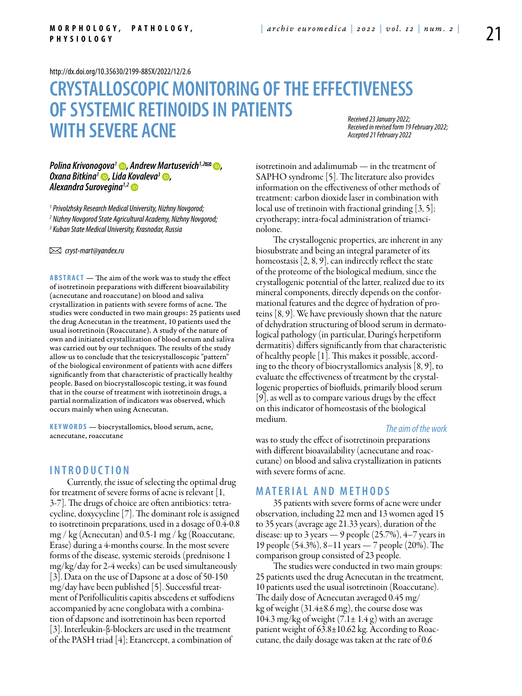<http://dx.doi.org/10.35630/2199-885X/2022/12/2.6>

# **CRYSTALLOSCOPIC MONITORING OF THE EFFECTIVENESS OF SYSTEMIC RETINOIDS IN PATIENTS WITH SEVERE ACNE** *Received 23 January 2022; Accepted 21 February 2022*

*Received in revised form 19 February 2022;* 

#### *Polina Krivonogova<sup>1</sup> ●, [Andrew Martusevich](https://orcid.org/0000-0002-0818-5316)<sup>1,2</sup><sup>∞</sup> ●, [Oxana Bitkina](https://orcid.org/0000-0003-4993-3269)<sup>1</sup> D, [Lida Kovaleva](https://orcid.org/0000-0001-5515-6641)<sup>3</sup> D, [Alexandra Surovegina](https://orcid.org/0000-0003-4460-5434)1,2*

*1 Privolzhsky Research Medical University, Nizhny Novgorod;* 

*2 Nizhny Novgorod State Agricultural Academy, Nizhny Novgorod;*

*3 Kuban State Medical University, Krasnodar, Russia*

 *cryst-mart@yandex.ru* 

**Abstract** — The aim of the work was to study the effect of isotretinoin preparations with different bioavailability (acnecutane and roaccutane) on blood and saliva crystallization in patients with severe forms of acne. The studies were conducted in two main groups: 25 patients used the drug Acnecutan in the treatment, 10 patients used the usual isotretinoin (Roaccutane). A study of the nature of own and initiated crystallization of blood serum and saliva was carried out by our techniques. The results of the study allow us to conclude that the tesicrystalloscopic "pattern" of the biological environment of patients with acne differs significantly from that characteristic of practically healthy people. Based on biocrystalloscopic testing, it was found that in the course of treatment with isotretinoin drugs, a partial normalization of indicators was observed, which occurs mainly when using Acnecutan.

**K eywords** — biocrystallomics, blood serum, acne, acnecutane, roaccutane

## **I n t r o ducti o n**

Currently, the issue of selecting the optimal drug for treatment of severe forms of acne is relevant [1, 3-7]. The drugs of choice are often antibiotics: tetracycline, doxycycline [7]. The dominant role is assigned to isotretinoin preparations, used in a dosage of 0.4-0.8 mg / kg (Acnecutan) and 0.5-1 mg / kg (Roaccutane, Erase) during a 4-months course. In the most severe forms of the disease, systemic steroids (prednisone 1 mg/kg/day for 2-4 weeks) can be used simultaneously [3]. Data on the use of Dapsone at a dose of 50-150 mg/day have been published [5]. Successful treatment of Perifolliculitis capitis abscedens et suffodiens accompanied by acne conglobata with a combination of dapsone and isotretinoin has been reported [3]. Interleukin-β-blockers are used in the treatment of the PASH triad [4]; Etanercept, a combination of

isotretinoin and adalimumab — in the treatment of SAPHO syndrome [5]. The literature also provides information on the effectiveness of other methods of treatment: carbon dioxide laser in combination with local use of tretinoin with fractional grinding [3, 5]; cryotherapy; intra-focal administration of triamcinolone.

The crystallogenic properties, are inherent in any biosubstrate and being an integral parameter of its homeostasis [2, 8, 9], can indirectly reflect the state of the proteome of the biological medium, since the crystallogenic potential of the latter, realized due to its mineral components, directly depends on the conformational features and the degree of hydration of proteins [8, 9]. We have previously shown that the nature of dehydration structuring of blood serum in dermatological pathology (in particular, During's herpetiform dermatitis) differs significantly from that characteristic of healthy people [1]. This makes it possible, according to the theory of biocrystallomics analysis [8, 9], to evaluate the effectiveness of treatment by the crystallogenic properties of biofluids, primarily blood serum [9], as well as to compare various drugs by the effect on this indicator of homeostasis of the biological medium.

#### *The aim of the work*

was to study the effect of isotretinoin preparations with different bioavailability (acnecutane and roaccutane) on blood and saliva crystallization in patients with severe forms of acne.

## **Mat e rial a n d me t h o d s**

35 patients with severe forms of acne were under observation, including 22 men and 13 women aged 15 to 35 years (average age 21.33 years), duration of the disease: up to 3 years  $-$  9 people (25.7%), 4–7 years in 19 people (54.3%), 8–11 years — 7 people (20%). The comparison group consisted of 23 people.

The studies were conducted in two main groups: 25 patients used the drug Acnecutan in the treatment, 10 patients used the usual isotretinoin (Roaccutane). The daily dose of Acnecutan averaged 0.45 mg/ kg of weight (31.4±8.6 mg), the course dose was 104.3 mg/kg of weight  $(7.1 \pm 1.4 \text{ g})$  with an average patient weight of 63.8±10.62 kg. According to Roaccutane, the daily dosage was taken at the rate of 0.6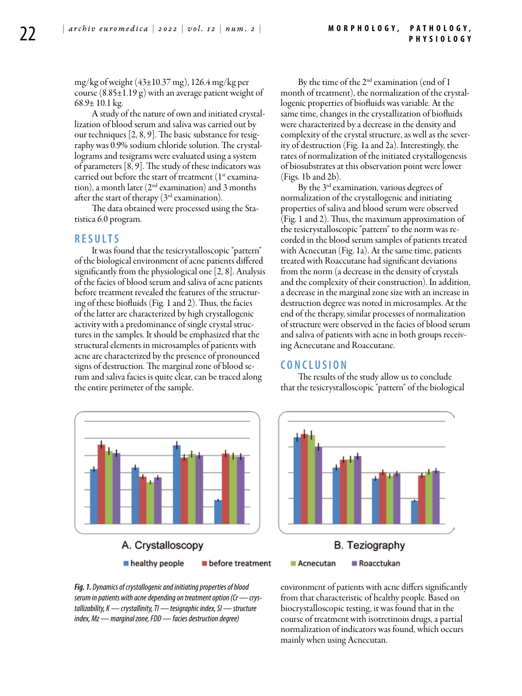mg/kg of weight (43±10.37 mg), 126.4 mg/kg per course  $(8.85\pm1.19 \text{ g})$  with an average patient weight of 68.9 $\pm$  10.1 kg.

A study of the nature of own and initiated crystallization of blood serum and saliva was carried out by our techniques [2, 8, 9]. The basic substance for tesigraphy was 0.9% sodium chloride solution. The crystallograms and tesigrams were evaluated using a system of parameters [8, 9]. The study of these indicators was carried out before the start of treatment  $(1<sup>st</sup>$  examination), a month later  $(2<sup>nd</sup>$  examination) and 3 months after the start of therapy  $(3<sup>rd</sup>$  examination).

The data obtained were processed using the Statistica 6.0 program.

#### **R e s ult s**

It was found that the tesicrystalloscopic "pattern" of the biological environment of acne patients differed significantly from the physiological one [2, 8]. Analysis of the facies of blood serum and saliva of acne patients before treatment revealed the features of the structuring of these biofluids (Fig. 1 and 2). Thus, the facies of the latter are characterized by high crystallogenic activity with a predominance of single crystal structures in the samples. It should be emphasized that the structural elements in microsamples of patients with acne are characterized by the presence of pronounced signs of destruction. The marginal zone of blood serum and saliva facies is quite clear, can be traced along the entire perimeter of the sample.



By the time of the  $2^{nd}$  examination (end of 1 month of treatment), the normalization of the crystallogenic properties of biofluids was variable. At the same time, changes in the crystallization of biofluids were characterized by a decrease in the density and complexity of the crystal structure, as well as the severity of destruction (Fig. 1a and 2a). Interestingly, the rates of normalization of the initiated crystallogenesis of biosubstrates at this observation point were lower (Figs. 1b and 2b).

By the 3<sup>rd</sup> examination, various degrees of normalization of the crystallogenic and initiating properties of saliva and blood serum were observed (Fig. 1 and 2). Thus, the maximum approximation of the tesicrystalloscopic "pattern" to the norm was recorded in the blood serum samples of patients treated with Acnecutan (Fig. 1a). At the same time, patients treated with Roaccutane had significant deviations from the norm (a decrease in the density of crystals and the complexity of their construction). In addition, a decrease in the marginal zone size with an increase in destruction degree was noted in microsamples. At the end of the therapy, similar processes of normalization of structure were observed in the facies of blood serum and saliva of patients with acne in both groups receiving Acnecutane and Roaccutane.

#### **C o n clu si o n**

The results of the study allow us to conclude that the tesicrystalloscopic "pattern" of the biological



*Fig. 1. Dynamics of crystallogenic and initiating properties of blood serum in patients with acne depending on treatment option (Cr — crystallizability, K — crystallinity, TI — tesigraphic index, SI — structure index, Mz — marginal zone, FDD — facies destruction degree)*

environment of patients with acne differs significantly from that characteristic of healthy people. Based on biocrystalloscopic testing, it was found that in the course of treatment with isotretinoin drugs, a partial normalization of indicators was found, which occurs mainly when using Acnecutan.